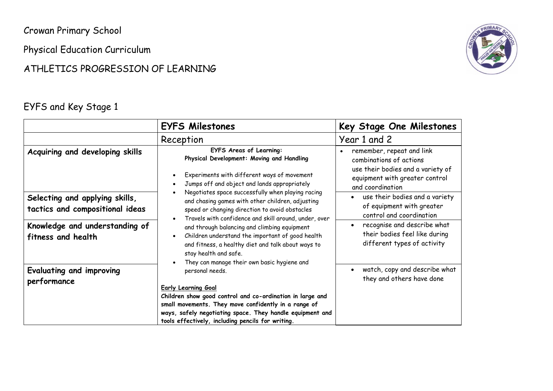Crowan Primary School

Physical Education Curriculum

#### ATHLETICS PROGRESSION OF LEARNING

#### EYFS and Key Stage 1



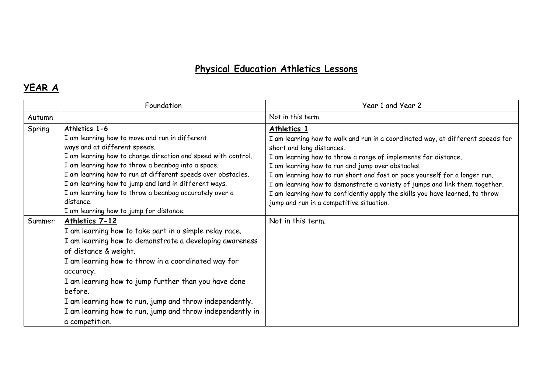# **Physical Education Athletics Lessons**

### **YEAR A**

|        | Foundation                                                                                                                                                                                                                                                                                                                                                                                                                                                         | Year 1 and Year 2                                                                                                                                                                                                                                                                                                                                                                                                                                                                                                                           |
|--------|--------------------------------------------------------------------------------------------------------------------------------------------------------------------------------------------------------------------------------------------------------------------------------------------------------------------------------------------------------------------------------------------------------------------------------------------------------------------|---------------------------------------------------------------------------------------------------------------------------------------------------------------------------------------------------------------------------------------------------------------------------------------------------------------------------------------------------------------------------------------------------------------------------------------------------------------------------------------------------------------------------------------------|
| Autumn |                                                                                                                                                                                                                                                                                                                                                                                                                                                                    | Not in this term.                                                                                                                                                                                                                                                                                                                                                                                                                                                                                                                           |
| Spring | Athletics 1-6<br>I am learning how to move and run in different<br>ways and at different speeds.<br>I am learning how to change direction and speed with control.<br>I am learning how to throw a beanbag into a space.<br>I am learning how to run at different speeds over obstacles.<br>I am learning how to jump and land in different ways.<br>I am learning how to throw a beanbag accurately over a<br>distance.<br>I am learning how to jump for distance. | Athletics 1<br>I am learning how to walk and run in a coordinated way, at different speeds for<br>short and long distances.<br>I am learning how to throw a range of implements for distance.<br>I am learning how to run and jump over obstacles.<br>I am learning how to run short and fast or pace yourself for a longer run.<br>I am learning how to demonstrate a variety of jumps and link them together.<br>I am learning how to confidently apply the skills you have learned, to throw<br>jump and run in a competitive situation. |
| Summer | Athletics 7-12<br>I am learning how to take part in a simple relay race.<br>I am learning how to demonstrate a developing awareness<br>of distance & weight.<br>I am learning how to throw in a coordinated way for<br>accuracy.<br>I am learning how to jump further than you have done<br>before.<br>I am learning how to run, jump and throw independently.<br>I am learning how to run, jump and throw independently in<br>a competition.                      | Not in this term.                                                                                                                                                                                                                                                                                                                                                                                                                                                                                                                           |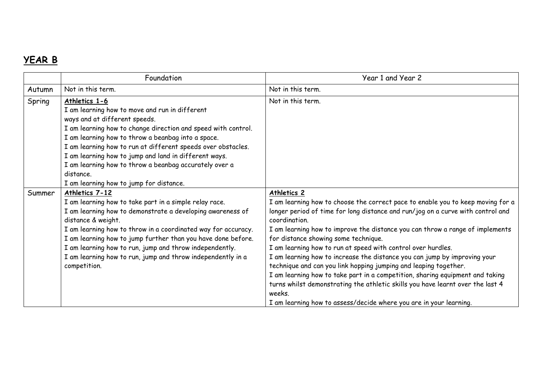## **YEAR B**

|        | Foundation                                                                                                                                                                                                                                                                                                                                                                                                                                                         | Year 1 and Year 2                                                                                                                                                                                                                                                                                                                                                                                                                                                                                                                                                                                                                                                                                                                                                                               |
|--------|--------------------------------------------------------------------------------------------------------------------------------------------------------------------------------------------------------------------------------------------------------------------------------------------------------------------------------------------------------------------------------------------------------------------------------------------------------------------|-------------------------------------------------------------------------------------------------------------------------------------------------------------------------------------------------------------------------------------------------------------------------------------------------------------------------------------------------------------------------------------------------------------------------------------------------------------------------------------------------------------------------------------------------------------------------------------------------------------------------------------------------------------------------------------------------------------------------------------------------------------------------------------------------|
| Autumn | Not in this term.                                                                                                                                                                                                                                                                                                                                                                                                                                                  | Not in this term.                                                                                                                                                                                                                                                                                                                                                                                                                                                                                                                                                                                                                                                                                                                                                                               |
| Spring | Athletics 1-6<br>I am learning how to move and run in different<br>ways and at different speeds.<br>I am learning how to change direction and speed with control.<br>I am learning how to throw a beanbag into a space.<br>I am learning how to run at different speeds over obstacles.<br>I am learning how to jump and land in different ways.<br>I am learning how to throw a beanbag accurately over a<br>distance.<br>I am learning how to jump for distance. | Not in this term.                                                                                                                                                                                                                                                                                                                                                                                                                                                                                                                                                                                                                                                                                                                                                                               |
| Summer | Athletics 7-12<br>I am learning how to take part in a simple relay race.<br>I am learning how to demonstrate a developing awareness of<br>distance & weight.<br>I am learning how to throw in a coordinated way for accuracy.<br>I am learning how to jump further than you have done before.<br>I am learning how to run, jump and throw independently.<br>I am learning how to run, jump and throw independently in a<br>competition.                            | Athletics 2<br>I am learning how to choose the correct pace to enable you to keep moving for a<br>longer period of time for long distance and run/jog on a curve with control and<br>coordination.<br>I am learning how to improve the distance you can throw a range of implements<br>for distance showing some technique.<br>I am learning how to run at speed with control over hurdles.<br>I am learning how to increase the distance you can jump by improving your<br>technique and can you link hopping jumping and leaping together.<br>I am learning how to take part in a competition, sharing equipment and taking<br>turns whilst demonstrating the athletic skills you have learnt over the last 4<br>weeks.<br>I am learning how to assess/decide where you are in your learning. |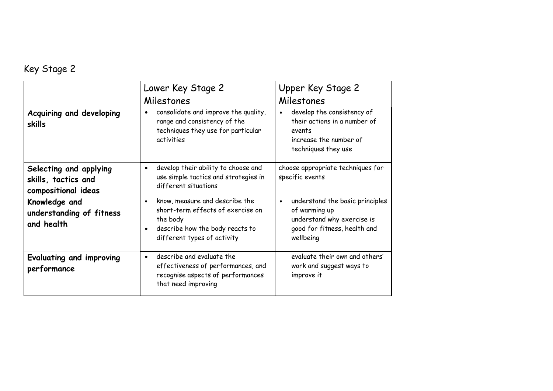# Key Stage 2

|                                                                      | Lower Key Stage 2<br>Milestones                                                                                                                                | Upper Key Stage 2<br>Milestones                                                                                                          |
|----------------------------------------------------------------------|----------------------------------------------------------------------------------------------------------------------------------------------------------------|------------------------------------------------------------------------------------------------------------------------------------------|
| Acquiring and developing<br>skills                                   | consolidate and improve the quality,<br>range and consistency of the<br>techniques they use for particular<br>activities                                       | develop the consistency of<br>$\bullet$<br>their actions in a number of<br>events<br>increase the number of<br>techniques they use       |
| Selecting and applying<br>skills, tactics and<br>compositional ideas | develop their ability to choose and<br>$\bullet$<br>use simple tactics and strategies in<br>different situations                                               | choose appropriate techniques for<br>specific events                                                                                     |
| Knowledge and<br>understanding of fitness<br>and health              | know, measure and describe the<br>$\bullet$<br>short-term effects of exercise on<br>the body<br>describe how the body reacts to<br>different types of activity | understand the basic principles<br>$\bullet$<br>of warming up<br>understand why exercise is<br>good for fitness, health and<br>wellbeing |
| Evaluating and improving<br>performance                              | describe and evaluate the<br>effectiveness of performances, and<br>recognise aspects of performances<br>that need improving                                    | evaluate their own and others'<br>work and suggest ways to<br>improve it                                                                 |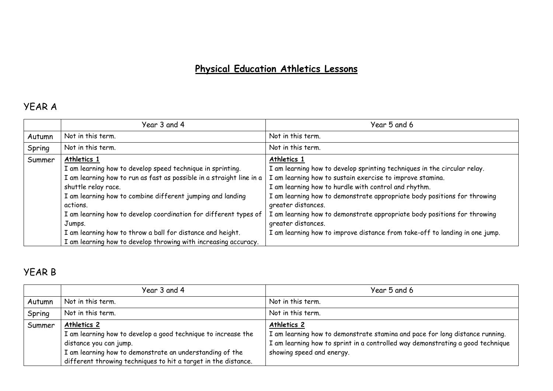# **Physical Education Athletics Lessons**

### YEAR A

|        | Year 3 and 4                                                                                                                                                                                                                                       | Year 5 and 6                                                                                                                                                                                                                                                                                                   |
|--------|----------------------------------------------------------------------------------------------------------------------------------------------------------------------------------------------------------------------------------------------------|----------------------------------------------------------------------------------------------------------------------------------------------------------------------------------------------------------------------------------------------------------------------------------------------------------------|
| Autumn | Not in this term.                                                                                                                                                                                                                                  | Not in this term.                                                                                                                                                                                                                                                                                              |
| Spring | Not in this term.                                                                                                                                                                                                                                  | Not in this term.                                                                                                                                                                                                                                                                                              |
| Summer | Athletics 1<br>I am learning how to develop speed technique in sprinting.<br>I am learning how to run as fast as possible in a straight line in a<br>shuttle relay race.<br>I am learning how to combine different jumping and landing<br>actions. | Athletics 1<br>I am learning how to develop sprinting techniques in the circular relay.<br>I am learning how to sustain exercise to improve stamina.<br>I am learning how to hurdle with control and rhythm.<br>I am learning how to demonstrate appropriate body positions for throwing<br>greater distances. |
|        | I am learning how to develop coordination for different types of<br>Jumps.<br>I am learning how to throw a ball for distance and height.<br>I am learning how to develop throwing with increasing accuracy.                                        | I am learning how to demonstrate appropriate body positions for throwing<br>greater distances.<br>I am learning how to improve distance from take-off to landing in one jump.                                                                                                                                  |

## YEAR B

|        | Year 3 and 4                                                   | Year 5 and 6                                                                   |
|--------|----------------------------------------------------------------|--------------------------------------------------------------------------------|
| Autumn | Not in this term.                                              | Not in this term.                                                              |
| Spring | Not in this term.                                              | Not in this term.                                                              |
| Summer | Athletics 2                                                    | Athletics 2                                                                    |
|        | I am learning how to develop a good technique to increase the  | I am learning how to demonstrate stamina and pace for long distance running.   |
|        | distance you can jump.                                         | I am learning how to sprint in a controlled way demonstrating a good technique |
|        | I am learning how to demonstrate an understanding of the       | showing speed and energy.                                                      |
|        | different throwing techniques to hit a target in the distance. |                                                                                |